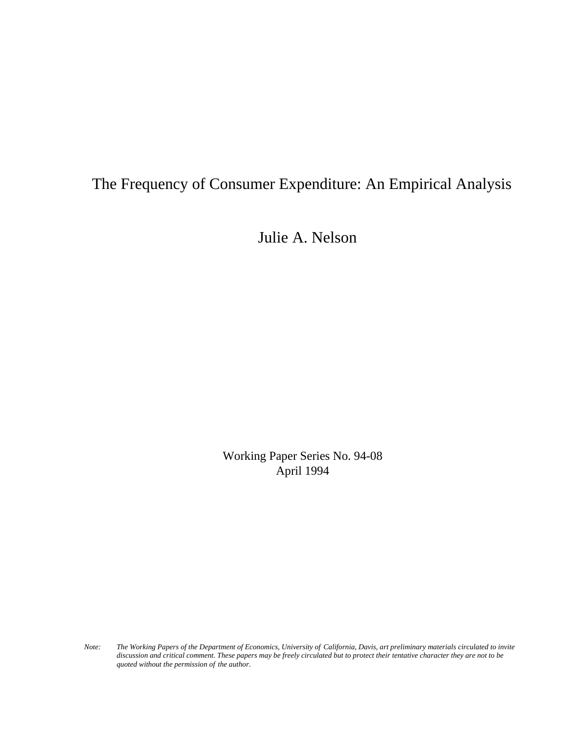# The Frequency of Consumer Expenditure: An Empirical Analysis

Julie A. Nelson

Working Paper Series No. 94-08 April 1994

*Note: The Working Papers of the Department of Economics, University of California, Davis, art preliminary materials circulated to invite discussion and critical comment. These papers may be freely circulated but to protect their tentative character they are not to be quoted without the permission of the author.*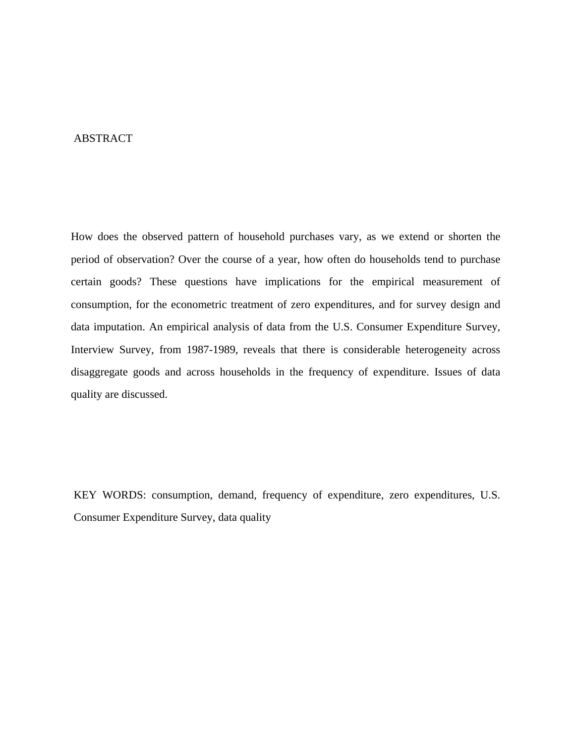### ABSTRACT

How does the observed pattern of household purchases vary, as we extend or shorten the period of observation? Over the course of a year, how often do households tend to purchase certain goods? These questions have implications for the empirical measurement of consumption, for the econometric treatment of zero expenditures, and for survey design and data imputation. An empirical analysis of data from the U.S. Consumer Expenditure Survey, Interview Survey, from 1987-1989, reveals that there is considerable heterogeneity across disaggregate goods and across households in the frequency of expenditure. Issues of data quality are discussed.

KEY WORDS: consumption, demand, frequency of expenditure, zero expenditures, U.S. Consumer Expenditure Survey, data quality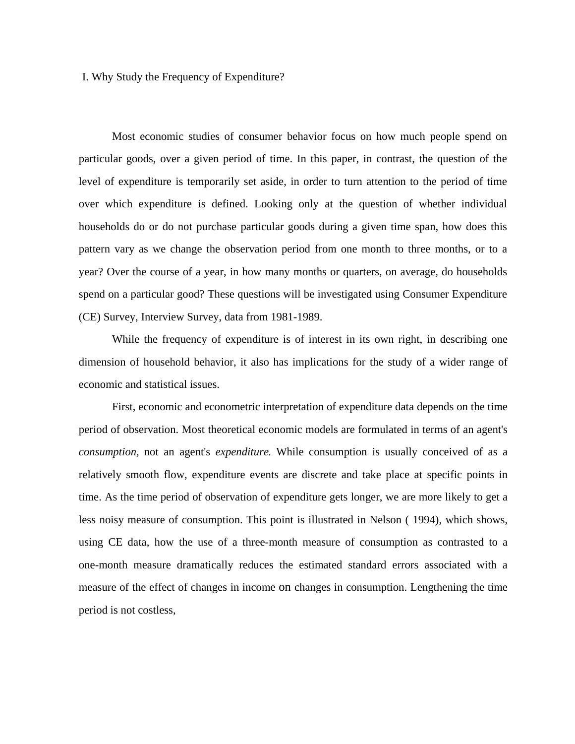I. Why Study the Frequency of Expenditure?

Most economic studies of consumer behavior focus on how much people spend on particular goods, over a given period of time. In this paper, in contrast, the question of the level of expenditure is temporarily set aside, in order to turn attention to the period of time over which expenditure is defined. Looking only at the question of whether individual households do or do not purchase particular goods during a given time span, how does this pattern vary as we change the observation period from one month to three months, or to a year? Over the course of a year, in how many months or quarters, on average, do households spend on a particular good? These questions will be investigated using Consumer Expenditure (CE) Survey, Interview Survey, data from 1981-1989.

While the frequency of expenditure is of interest in its own right, in describing one dimension of household behavior, it also has implications for the study of a wider range of economic and statistical issues.

First, economic and econometric interpretation of expenditure data depends on the time period of observation. Most theoretical economic models are formulated in terms of an agent's *consumption,* not an agent's *expenditure.* While consumption is usually conceived of as a relatively smooth flow, expenditure events are discrete and take place at specific points in time. As the time period of observation of expenditure gets longer, we are more likely to get a less noisy measure of consumption. This point is illustrated in Nelson ( 1994), which shows, using CE data, how the use of a three-month measure of consumption as contrasted to a one-month measure dramatically reduces the estimated standard errors associated with a measure of the effect of changes in income on changes in consumption. Lengthening the time period is not costless,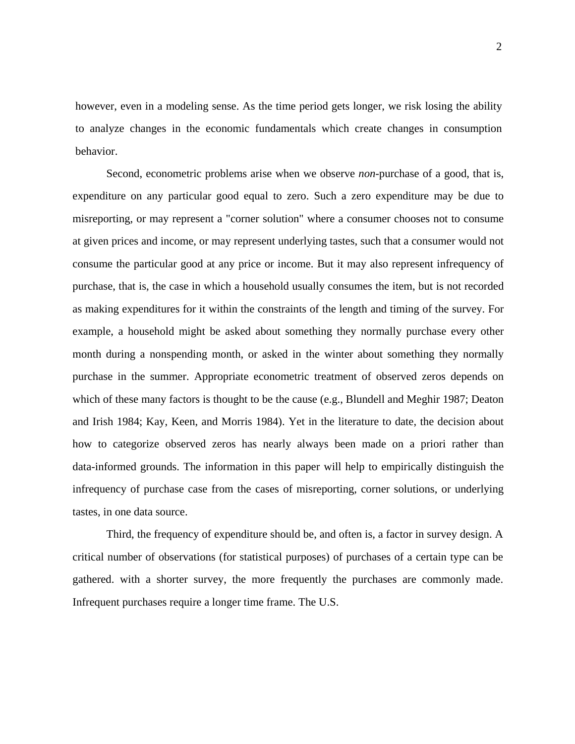however, even in a modeling sense. As the time period gets longer, we risk losing the ability to analyze changes in the economic fundamentals which create changes in consumption behavior.

Second, econometric problems arise when we observe *non*-purchase of a good, that is, expenditure on any particular good equal to zero. Such a zero expenditure may be due to misreporting, or may represent a "corner solution" where a consumer chooses not to consume at given prices and income, or may represent underlying tastes, such that a consumer would not consume the particular good at any price or income. But it may also represent infrequency of purchase, that is, the case in which a household usually consumes the item, but is not recorded as making expenditures for it within the constraints of the length and timing of the survey. For example, a household might be asked about something they normally purchase every other month during a nonspending month, or asked in the winter about something they normally purchase in the summer. Appropriate econometric treatment of observed zeros depends on which of these many factors is thought to be the cause (e.g., Blundell and Meghir 1987; Deaton and Irish 1984; Kay, Keen, and Morris 1984). Yet in the literature to date, the decision about how to categorize observed zeros has nearly always been made on a priori rather than data-informed grounds. The information in this paper will help to empirically distinguish the infrequency of purchase case from the cases of misreporting, corner solutions, or underlying tastes, in one data source.

Third, the frequency of expenditure should be, and often is, a factor in survey design. A critical number of observations (for statistical purposes) of purchases of a certain type can be gathered. with a shorter survey, the more frequently the purchases are commonly made. Infrequent purchases require a longer time frame. The U.S.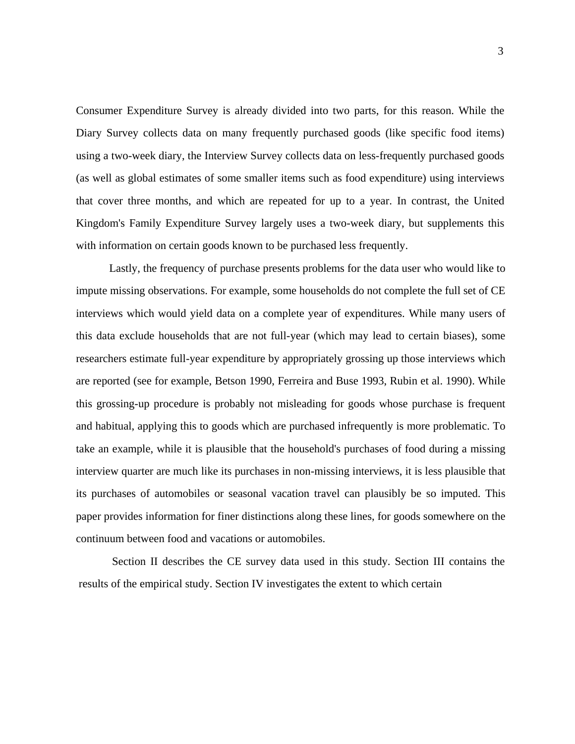Consumer Expenditure Survey is already divided into two parts, for this reason. While the Diary Survey collects data on many frequently purchased goods (like specific food items) using a two-week diary, the Interview Survey collects data on less-frequently purchased goods (as well as global estimates of some smaller items such as food expenditure) using interviews that cover three months, and which are repeated for up to a year. In contrast, the United Kingdom's Family Expenditure Survey largely uses a two-week diary, but supplements this with information on certain goods known to be purchased less frequently.

Lastly, the frequency of purchase presents problems for the data user who would like to impute missing observations. For example, some households do not complete the full set of CE interviews which would yield data on a complete year of expenditures. While many users of this data exclude households that are not full-year (which may lead to certain biases), some researchers estimate full-year expenditure by appropriately grossing up those interviews which are reported (see for example, Betson 1990, Ferreira and Buse 1993, Rubin et al. 1990). While this grossing-up procedure is probably not misleading for goods whose purchase is frequent and habitual, applying this to goods which are purchased infrequently is more problematic. To take an example, while it is plausible that the household's purchases of food during a missing interview quarter are much like its purchases in non-missing interviews, it is less plausible that its purchases of automobiles or seasonal vacation travel can plausibly be so imputed. This paper provides information for finer distinctions along these lines, for goods somewhere on the continuum between food and vacations or automobiles.

Section II describes the CE survey data used in this study. Section III contains the results of the empirical study. Section IV investigates the extent to which certain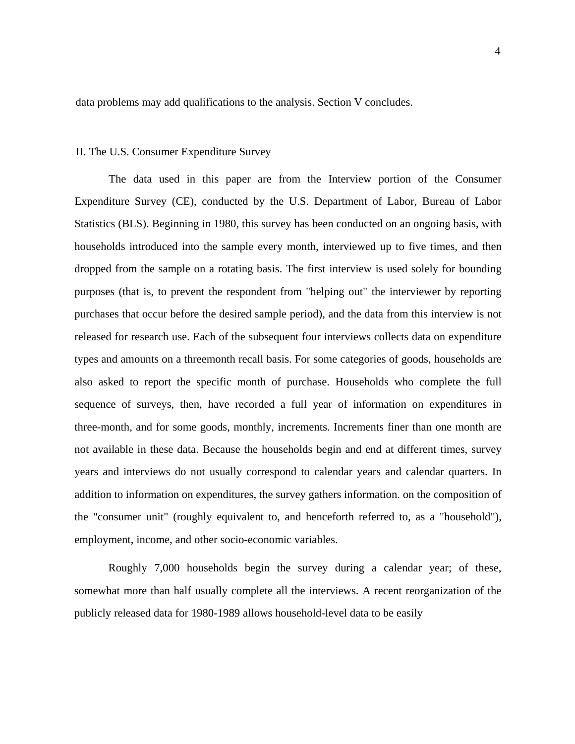data problems may add qualifications to the analysis. Section V concludes.

### II. The U.S. Consumer Expenditure Survey

The data used in this paper are from the Interview portion of the Consumer Expenditure Survey (CE), conducted by the U.S. Department of Labor, Bureau of Labor Statistics (BLS). Beginning in 1980, this survey has been conducted on an ongoing basis, with households introduced into the sample every month, interviewed up to five times, and then dropped from the sample on a rotating basis. The first interview is used solely for bounding purposes (that is, to prevent the respondent from "helping out" the interviewer by reporting purchases that occur before the desired sample period), and the data from this interview is not released for research use. Each of the subsequent four interviews collects data on expenditure types and amounts on a threemonth recall basis. For some categories of goods, households are also asked to report the specific month of purchase. Households who complete the full sequence of surveys, then, have recorded a full year of information on expenditures in three-month, and for some goods, monthly, increments. Increments finer than one month are not available in these data. Because the households begin and end at different times, survey years and interviews do not usually correspond to calendar years and calendar quarters. In addition to information on expenditures, the survey gathers information. on the composition of the "consumer unit" (roughly equivalent to, and henceforth referred to, as a "household"), employment, income, and other socio-economic variables.

Roughly 7,000 households begin the survey during a calendar year; of these, somewhat more than half usually complete all the interviews. A recent reorganization of the publicly released data for 1980-1989 allows household-level data to be easily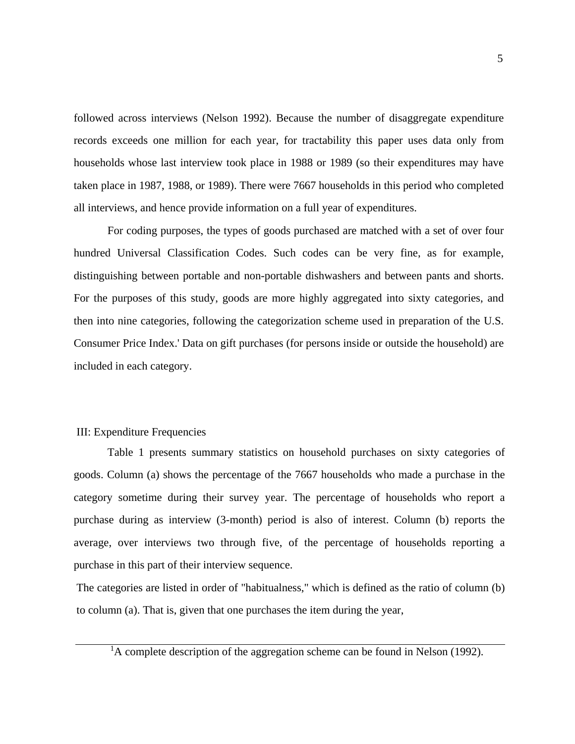followed across interviews (Nelson 1992). Because the number of disaggregate expenditure records exceeds one million for each year, for tractability this paper uses data only from households whose last interview took place in 1988 or 1989 (so their expenditures may have taken place in 1987, 1988, or 1989). There were 7667 households in this period who completed all interviews, and hence provide information on a full year of expenditures.

For coding purposes, the types of goods purchased are matched with a set of over four hundred Universal Classification Codes. Such codes can be very fine, as for example, distinguishing between portable and non-portable dishwashers and between pants and shorts. For the purposes of this study, goods are more highly aggregated into sixty categories, and then into nine categories, following the categorization scheme used in preparation of the U.S. Consumer Price Index.' Data on gift purchases (for persons inside or outside the household) are included in each category.

## III: Expenditure Frequencies

Table 1 presents summary statistics on household purchases on sixty categories of goods. Column (a) shows the percentage of the 7667 households who made a purchase in the category sometime during their survey year. The percentage of households who report a purchase during as interview (3-month) period is also of interest. Column (b) reports the average, over interviews two through five, of the percentage of households reporting a purchase in this part of their interview sequence.

The categories are listed in order of "habitualness," which is defined as the ratio of column (b) to column (a). That is, given that one purchases the item during the year,

<sup>1</sup>A complete description of the aggregation scheme can be found in Nelson (1992).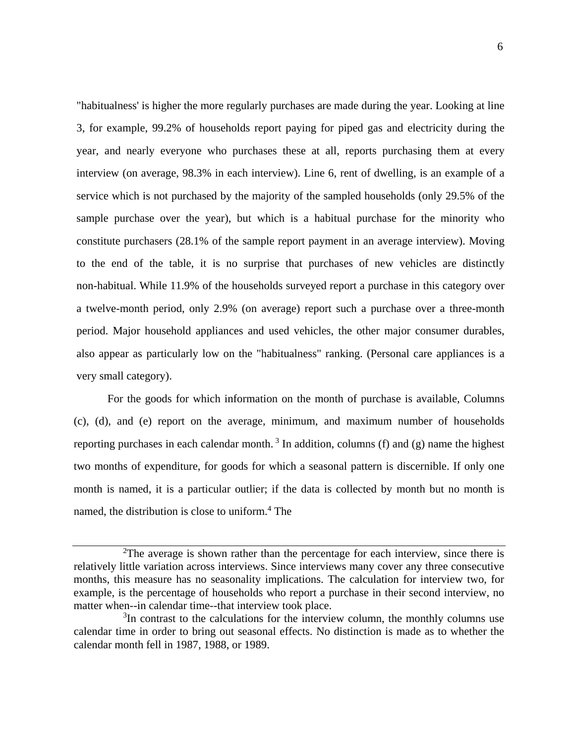"habitualness' is higher the more regularly purchases are made during the year. Looking at line 3, for example, 99.2% of households report paying for piped gas and electricity during the year, and nearly everyone who purchases these at all, reports purchasing them at every interview (on average, 98.3% in each interview). Line 6, rent of dwelling, is an example of a service which is not purchased by the majority of the sampled households (only 29.5% of the sample purchase over the year), but which is a habitual purchase for the minority who constitute purchasers (28.1% of the sample report payment in an average interview). Moving to the end of the table, it is no surprise that purchases of new vehicles are distinctly non-habitual. While 11.9% of the households surveyed report a purchase in this category over a twelve-month period, only 2.9% (on average) report such a purchase over a three-month period. Major household appliances and used vehicles, the other major consumer durables, also appear as particularly low on the "habitualness" ranking. (Personal care appliances is a very small category).

For the goods for which information on the month of purchase is available, Columns (c), (d), and (e) report on the average, minimum, and maximum number of households reporting purchases in each calendar month.<sup>3</sup> In addition, columns (f) and (g) name the highest two months of expenditure, for goods for which a seasonal pattern is discernible. If only one month is named, it is a particular outlier; if the data is collected by month but no month is named, the distribution is close to uniform.<sup>4</sup> The

 $2$ The average is shown rather than the percentage for each interview, since there is relatively little variation across interviews. Since interviews many cover any three consecutive months, this measure has no seasonality implications. The calculation for interview two, for example, is the percentage of households who report a purchase in their second interview, no matter when--in calendar time--that interview took place.

<sup>&</sup>lt;sup>3</sup>In contrast to the calculations for the interview column, the monthly columns use calendar time in order to bring out seasonal effects. No distinction is made as to whether the calendar month fell in 1987, 1988, or 1989.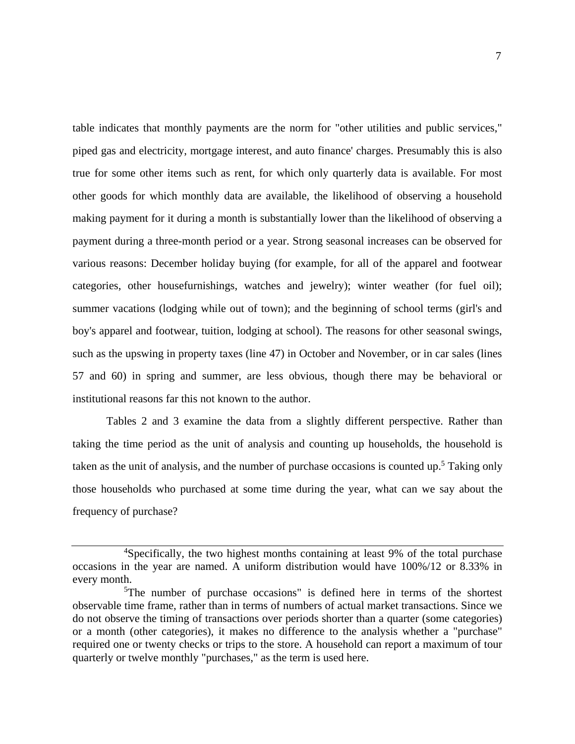table indicates that monthly payments are the norm for "other utilities and public services," piped gas and electricity, mortgage interest, and auto finance' charges. Presumably this is also true for some other items such as rent, for which only quarterly data is available. For most other goods for which monthly data are available, the likelihood of observing a household making payment for it during a month is substantially lower than the likelihood of observing a payment during a three-month period or a year. Strong seasonal increases can be observed for various reasons: December holiday buying (for example, for all of the apparel and footwear categories, other housefurnishings, watches and jewelry); winter weather (for fuel oil); summer vacations (lodging while out of town); and the beginning of school terms (girl's and boy's apparel and footwear, tuition, lodging at school). The reasons for other seasonal swings, such as the upswing in property taxes (line 47) in October and November, or in car sales (lines 57 and 60) in spring and summer, are less obvious, though there may be behavioral or institutional reasons far this not known to the author.

Tables 2 and 3 examine the data from a slightly different perspective. Rather than taking the time period as the unit of analysis and counting up households, the household is taken as the unit of analysis, and the number of purchase occasions is counted up.<sup>5</sup> Taking only those households who purchased at some time during the year, what can we say about the frequency of purchase?

<sup>&</sup>lt;sup>4</sup>Specifically, the two highest months containing at least 9% of the total purchase occasions in the year are named. A uniform distribution would have 100%/12 or 8.33% in every month.

<sup>&</sup>lt;sup>5</sup>The number of purchase occasions" is defined here in terms of the shortest observable time frame, rather than in terms of numbers of actual market transactions. Since we do not observe the timing of transactions over periods shorter than a quarter (some categories) or a month (other categories), it makes no difference to the analysis whether a "purchase" required one or twenty checks or trips to the store. A household can report a maximum of tour quarterly or twelve monthly "purchases," as the term is used here.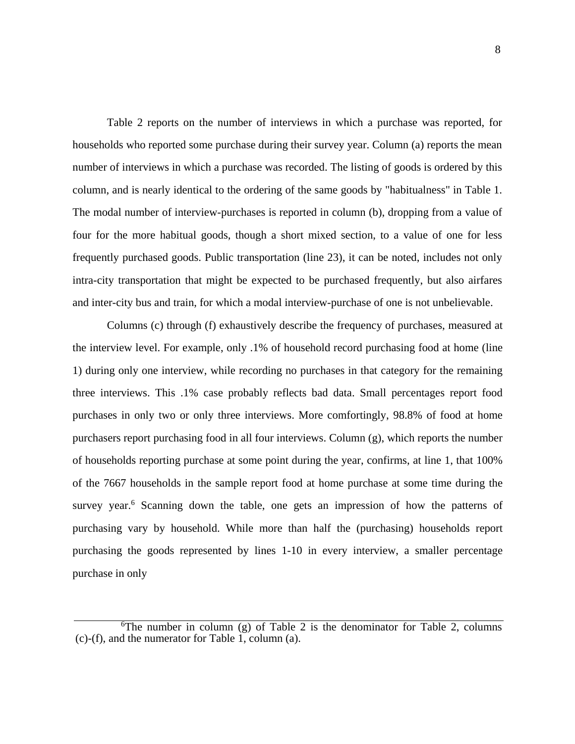Table 2 reports on the number of interviews in which a purchase was reported, for households who reported some purchase during their survey year. Column (a) reports the mean number of interviews in which a purchase was recorded. The listing of goods is ordered by this column, and is nearly identical to the ordering of the same goods by "habitualness" in Table 1. The modal number of interview-purchases is reported in column (b), dropping from a value of four for the more habitual goods, though a short mixed section, to a value of one for less frequently purchased goods. Public transportation (line 23), it can be noted, includes not only intra-city transportation that might be expected to be purchased frequently, but also airfares and inter-city bus and train, for which a modal interview-purchase of one is not unbelievable.

Columns (c) through (f) exhaustively describe the frequency of purchases, measured at the interview level. For example, only .1% of household record purchasing food at home (line 1) during only one interview, while recording no purchases in that category for the remaining three interviews. This .1% case probably reflects bad data. Small percentages report food purchases in only two or only three interviews. More comfortingly, 98.8% of food at home purchasers report purchasing food in all four interviews. Column (g), which reports the number of households reporting purchase at some point during the year, confirms, at line 1, that 100% of the 7667 households in the sample report food at home purchase at some time during the survey year.<sup>6</sup> Scanning down the table, one gets an impression of how the patterns of purchasing vary by household. While more than half the (purchasing) households report purchasing the goods represented by lines 1-10 in every interview, a smaller percentage purchase in only

<sup>&</sup>lt;sup>6</sup>The number in column (g) of Table 2 is the denominator for Table 2, columns  $(c)$ -(f), and the numerator for Table 1, column (a).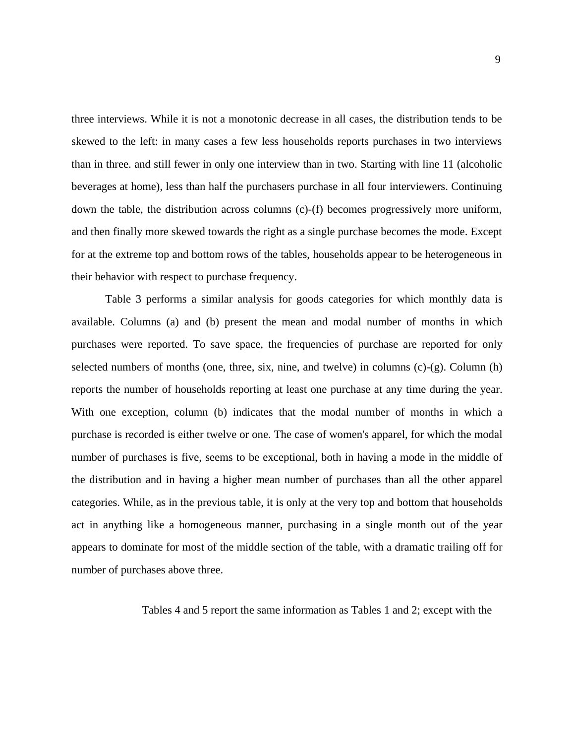three interviews. While it is not a monotonic decrease in all cases, the distribution tends to be skewed to the left: in many cases a few less households reports purchases in two interviews than in three. and still fewer in only one interview than in two. Starting with line 11 (alcoholic beverages at home), less than half the purchasers purchase in all four interviewers. Continuing down the table, the distribution across columns (c)-(f) becomes progressively more uniform, and then finally more skewed towards the right as a single purchase becomes the mode. Except for at the extreme top and bottom rows of the tables, households appear to be heterogeneous in their behavior with respect to purchase frequency.

Table 3 performs a similar analysis for goods categories for which monthly data is available. Columns (a) and (b) present the mean and modal number of months in which purchases were reported. To save space, the frequencies of purchase are reported for only selected numbers of months (one, three, six, nine, and twelve) in columns (c)-(g). Column (h) reports the number of households reporting at least one purchase at any time during the year. With one exception, column (b) indicates that the modal number of months in which a purchase is recorded is either twelve or one. The case of women's apparel, for which the modal number of purchases is five, seems to be exceptional, both in having a mode in the middle of the distribution and in having a higher mean number of purchases than all the other apparel categories. While, as in the previous table, it is only at the very top and bottom that households act in anything like a homogeneous manner, purchasing in a single month out of the year appears to dominate for most of the middle section of the table, with a dramatic trailing off for number of purchases above three.

Tables 4 and 5 report the same information as Tables 1 and 2; except with the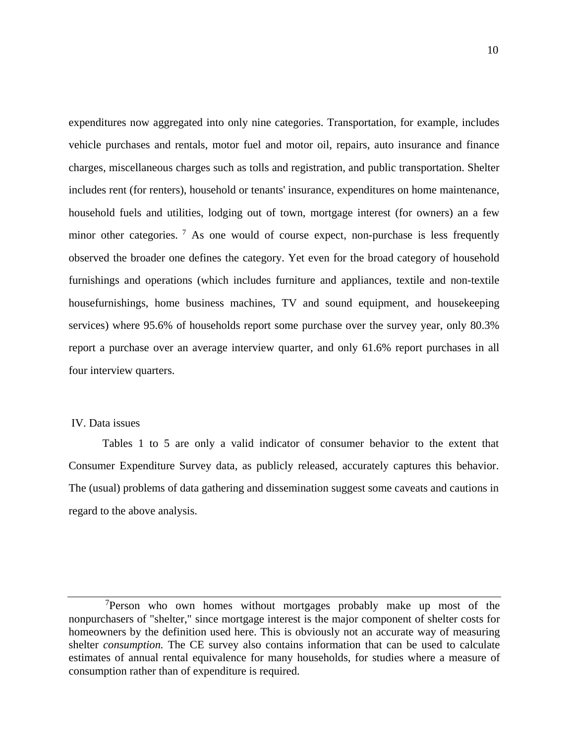expenditures now aggregated into only nine categories. Transportation, for example, includes vehicle purchases and rentals, motor fuel and motor oil, repairs, auto insurance and finance charges, miscellaneous charges such as tolls and registration, and public transportation. Shelter includes rent (for renters), household or tenants' insurance, expenditures on home maintenance, household fuels and utilities, lodging out of town, mortgage interest (for owners) an a few minor other categories. <sup>7</sup> As one would of course expect, non-purchase is less frequently observed the broader one defines the category. Yet even for the broad category of household furnishings and operations (which includes furniture and appliances, textile and non-textile housefurnishings, home business machines, TV and sound equipment, and housekeeping services) where 95.6% of households report some purchase over the survey year, only 80.3% report a purchase over an average interview quarter, and only 61.6% report purchases in all four interview quarters.

## IV. Data issues

Tables 1 to 5 are only a valid indicator of consumer behavior to the extent that Consumer Expenditure Survey data, as publicly released, accurately captures this behavior. The (usual) problems of data gathering and dissemination suggest some caveats and cautions in regard to the above analysis.

<sup>&</sup>lt;sup>7</sup>Person who own homes without mortgages probably make up most of the nonpurchasers of "shelter," since mortgage interest is the major component of shelter costs for homeowners by the definition used here. This is obviously not an accurate way of measuring shelter *consumption.* The CE survey also contains information that can be used to calculate estimates of annual rental equivalence for many households, for studies where a measure of consumption rather than of expenditure is required.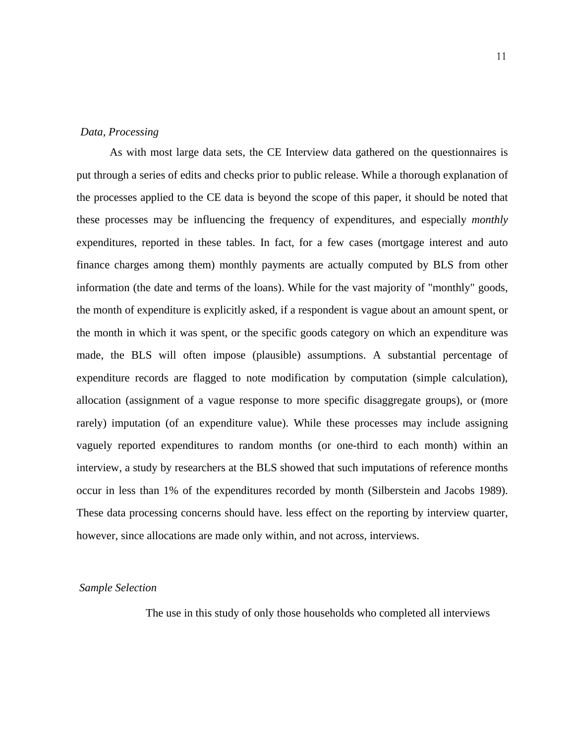### *Data, Processing*

As with most large data sets, the CE Interview data gathered on the questionnaires is put through a series of edits and checks prior to public release. While a thorough explanation of the processes applied to the CE data is beyond the scope of this paper, it should be noted that these processes may be influencing the frequency of expenditures, and especially *monthly* expenditures, reported in these tables. In fact, for a few cases (mortgage interest and auto finance charges among them) monthly payments are actually computed by BLS from other information (the date and terms of the loans). While for the vast majority of "monthly" goods, the month of expenditure is explicitly asked, if a respondent is vague about an amount spent, or the month in which it was spent, or the specific goods category on which an expenditure was made, the BLS will often impose (plausible) assumptions. A substantial percentage of expenditure records are flagged to note modification by computation (simple calculation), allocation (assignment of a vague response to more specific disaggregate groups), or (more rarely) imputation (of an expenditure value). While these processes may include assigning vaguely reported expenditures to random months (or one-third to each month) within an interview, a study by researchers at the BLS showed that such imputations of reference months occur in less than 1% of the expenditures recorded by month (Silberstein and Jacobs 1989). These data processing concerns should have. less effect on the reporting by interview quarter, however, since allocations are made only within, and not across, interviews.

#### *Sample Selection*

The use in this study of only those households who completed all interviews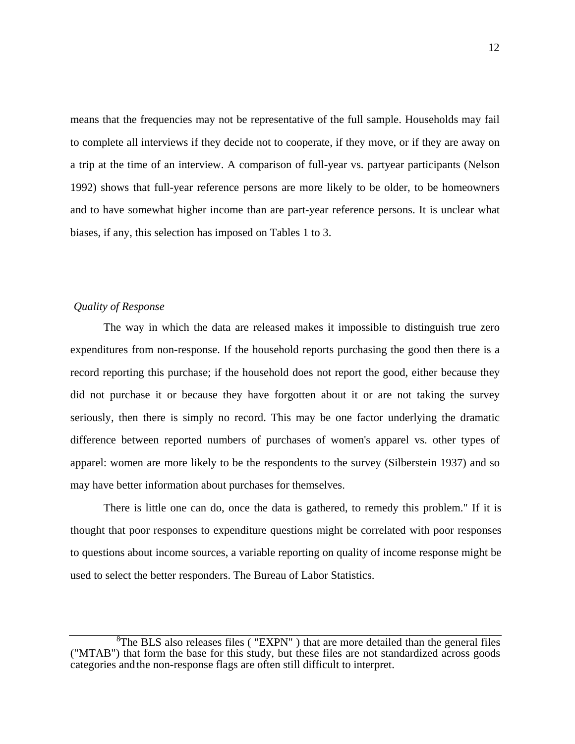means that the frequencies may not be representative of the full sample. Households may fail to complete all interviews if they decide not to cooperate, if they move, or if they are away on a trip at the time of an interview. A comparison of full-year vs. partyear participants (Nelson 1992) shows that full-year reference persons are more likely to be older, to be homeowners and to have somewhat higher income than are part-year reference persons. It is unclear what biases, if any, this selection has imposed on Tables 1 to 3.

## *Quality of Response*

The way in which the data are released makes it impossible to distinguish true zero expenditures from non-response. If the household reports purchasing the good then there is a record reporting this purchase; if the household does not report the good, either because they did not purchase it or because they have forgotten about it or are not taking the survey seriously, then there is simply no record. This may be one factor underlying the dramatic difference between reported numbers of purchases of women's apparel vs. other types of apparel: women are more likely to be the respondents to the survey (Silberstein 1937) and so may have better information about purchases for themselves.

There is little one can do, once the data is gathered, to remedy this problem." If it is thought that poor responses to expenditure questions might be correlated with poor responses to questions about income sources, a variable reporting on quality of income response might be used to select the better responders. The Bureau of Labor Statistics.

<sup>&</sup>lt;sup>8</sup>The BLS also releases files ("EXPN") that are more detailed than the general files ("MTAB") that form the base for this study, but these files are not standardized across goods categories and the non-response flags are often still difficult to interpret.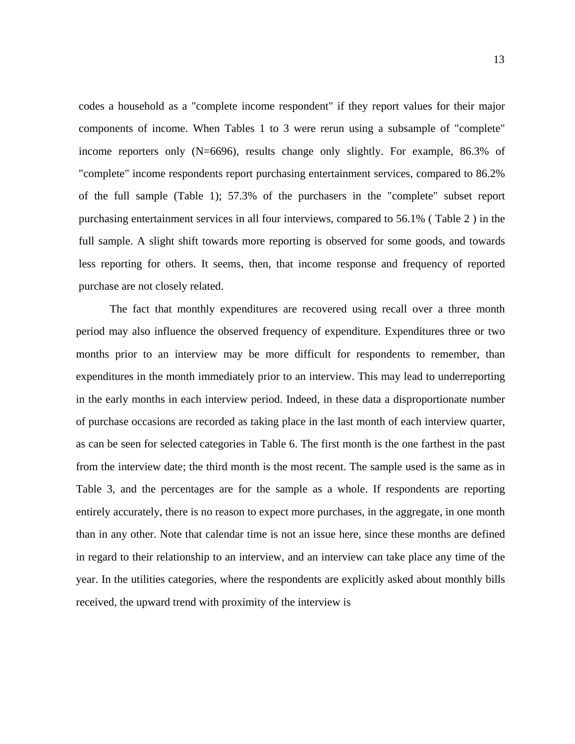codes a household as a "complete income respondent" if they report values for their major components of income. When Tables 1 to 3 were rerun using a subsample of "complete" income reporters only (N=6696), results change only slightly. For example, 86.3% of "complete" income respondents report purchasing entertainment services, compared to 86.2% of the full sample (Table 1); 57.3% of the purchasers in the "complete" subset report purchasing entertainment services in all four interviews, compared to 56.1% ( Table 2 ) in the full sample. A slight shift towards more reporting is observed for some goods, and towards less reporting for others. It seems, then, that income response and frequency of reported purchase are not closely related.

The fact that monthly expenditures are recovered using recall over a three month period may also influence the observed frequency of expenditure. Expenditures three or two months prior to an interview may be more difficult for respondents to remember, than expenditures in the month immediately prior to an interview. This may lead to underreporting in the early months in each interview period. Indeed, in these data a disproportionate number of purchase occasions are recorded as taking place in the last month of each interview quarter, as can be seen for selected categories in Table 6. The first month is the one farthest in the past from the interview date; the third month is the most recent. The sample used is the same as in Table 3, and the percentages are for the sample as a whole. If respondents are reporting entirely accurately, there is no reason to expect more purchases, in the aggregate, in one month than in any other. Note that calendar time is not an issue here, since these months are defined in regard to their relationship to an interview, and an interview can take place any time of the year. In the utilities categories, where the respondents are explicitly asked about monthly bills received, the upward trend with proximity of the interview is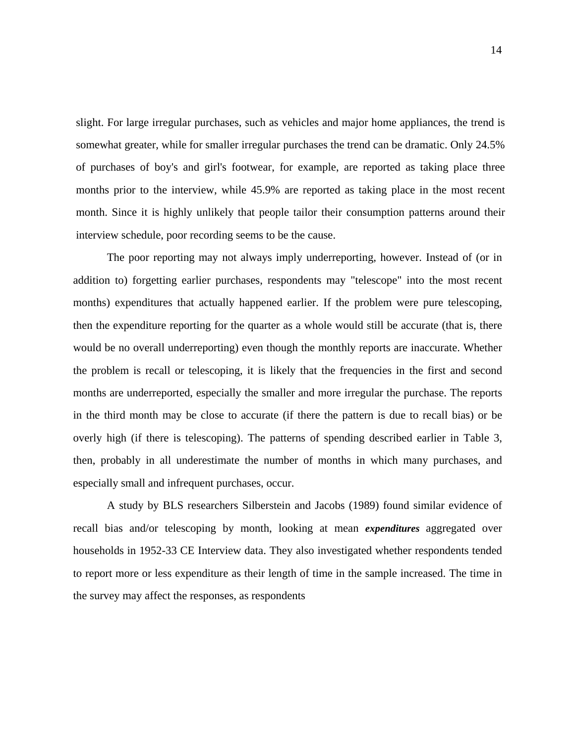slight. For large irregular purchases, such as vehicles and major home appliances, the trend is somewhat greater, while for smaller irregular purchases the trend can be dramatic. Only 24.5% of purchases of boy's and girl's footwear, for example, are reported as taking place three months prior to the interview, while 45.9% are reported as taking place in the most recent month. Since it is highly unlikely that people tailor their consumption patterns around their interview schedule, poor recording seems to be the cause.

The poor reporting may not always imply underreporting, however. Instead of (or in addition to) forgetting earlier purchases, respondents may "telescope" into the most recent months) expenditures that actually happened earlier. If the problem were pure telescoping, then the expenditure reporting for the quarter as a whole would still be accurate (that is, there would be no overall underreporting) even though the monthly reports are inaccurate. Whether the problem is recall or telescoping, it is likely that the frequencies in the first and second months are underreported, especially the smaller and more irregular the purchase. The reports in the third month may be close to accurate (if there the pattern is due to recall bias) or be overly high (if there is telescoping). The patterns of spending described earlier in Table 3, then, probably in all underestimate the number of months in which many purchases, and especially small and infrequent purchases, occur.

A study by BLS researchers Silberstein and Jacobs (1989) found similar evidence of recall bias and/or telescoping by month, looking at mean *expenditures* aggregated over households in 1952-33 CE Interview data. They also investigated whether respondents tended to report more or less expenditure as their length of time in the sample increased. The time in the survey may affect the responses, as respondents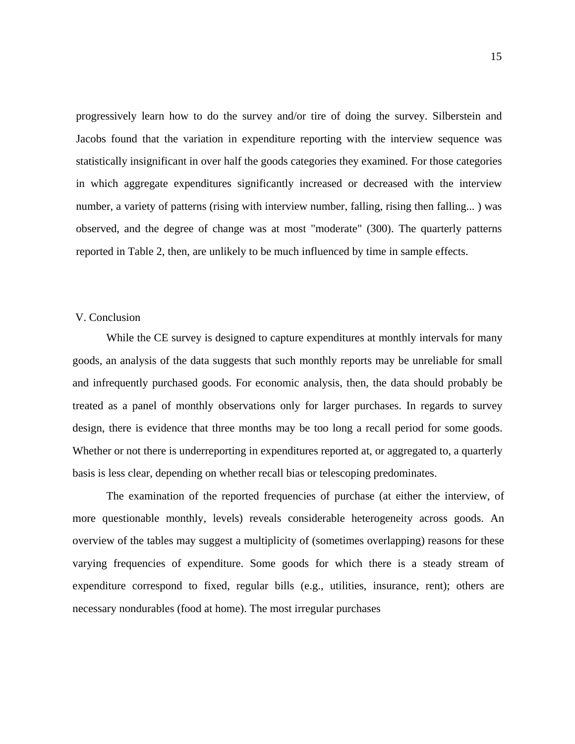progressively learn how to do the survey and/or tire of doing the survey. Silberstein and Jacobs found that the variation in expenditure reporting with the interview sequence was statistically insignificant in over half the goods categories they examined. For those categories in which aggregate expenditures significantly increased or decreased with the interview number, a variety of patterns (rising with interview number, falling, rising then falling...) was observed, and the degree of change was at most "moderate" (300). The quarterly patterns reported in Table 2, then, are unlikely to be much influenced by time in sample effects.

### V. Conclusion

While the CE survey is designed to capture expenditures at monthly intervals for many goods, an analysis of the data suggests that such monthly reports may be unreliable for small and infrequently purchased goods. For economic analysis, then, the data should probably be treated as a panel of monthly observations only for larger purchases. In regards to survey design, there is evidence that three months may be too long a recall period for some goods. Whether or not there is underreporting in expenditures reported at, or aggregated to, a quarterly basis is less clear, depending on whether recall bias or telescoping predominates.

The examination of the reported frequencies of purchase (at either the interview, of more questionable monthly, levels) reveals considerable heterogeneity across goods. An overview of the tables may suggest a multiplicity of (sometimes overlapping) reasons for these varying frequencies of expenditure. Some goods for which there is a steady stream of expenditure correspond to fixed, regular bills (e.g., utilities, insurance, rent); others are necessary nondurables (food at home). The most irregular purchases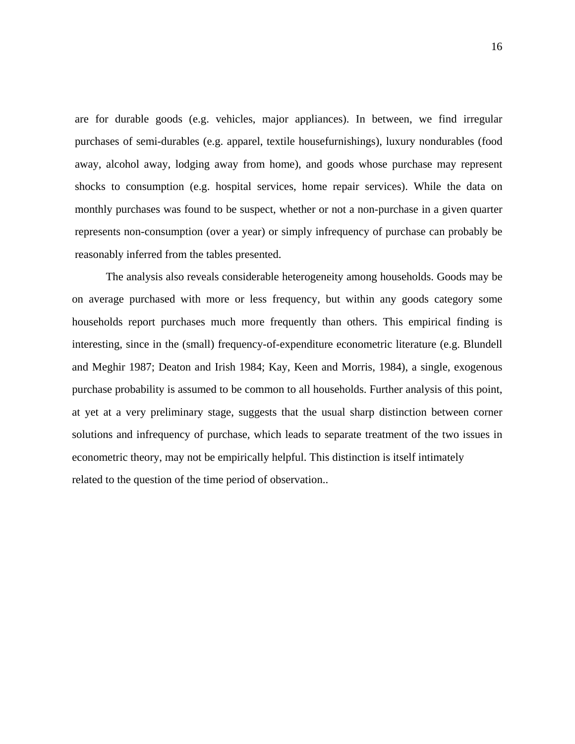are for durable goods (e.g. vehicles, major appliances). In between, we find irregular purchases of semi-durables (e.g. apparel, textile housefurnishings), luxury nondurables (food away, alcohol away, lodging away from home), and goods whose purchase may represent shocks to consumption (e.g. hospital services, home repair services). While the data on monthly purchases was found to be suspect, whether or not a non-purchase in a given quarter represents non-consumption (over a year) or simply infrequency of purchase can probably be reasonably inferred from the tables presented.

The analysis also reveals considerable heterogeneity among households. Goods may be on average purchased with more or less frequency, but within any goods category some households report purchases much more frequently than others. This empirical finding is interesting, since in the (small) frequency-of-expenditure econometric literature (e.g. Blundell and Meghir 1987; Deaton and Irish 1984; Kay, Keen and Morris, 1984), a single, exogenous purchase probability is assumed to be common to all households. Further analysis of this point, at yet at a very preliminary stage, suggests that the usual sharp distinction between corner solutions and infrequency of purchase, which leads to separate treatment of the two issues in econometric theory, may not be empirically helpful. This distinction is itself intimately related to the question of the time period of observation..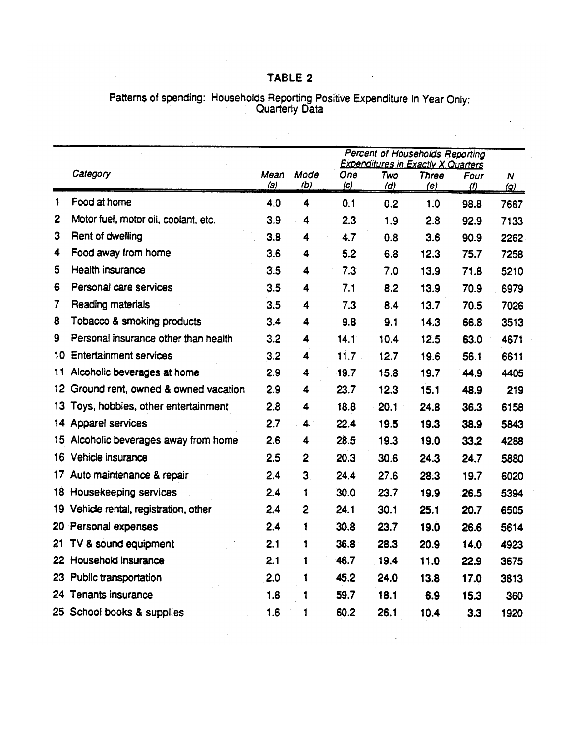## TABLE 2

# Patterns of spending: Households Reporting Positive Expenditure In Year Only:<br>Quarterly Data

|              |                                      |             |                  | Percent of Households Reporting<br><b>Expenditures in Exactly X Quarters</b> |            |                     |             |                                |
|--------------|--------------------------------------|-------------|------------------|------------------------------------------------------------------------------|------------|---------------------|-------------|--------------------------------|
|              | Category                             | Mean<br>(a) | Mode<br>(b)      | One<br>(c)                                                                   | Two<br>(d) | <b>Three</b><br>(e) | Four<br>(1) | $\boldsymbol{N}$<br><u>(g)</u> |
| 1            | Food at home                         | 4.0         | 4                | 0.1                                                                          | 0.2        | 1.0                 | 98.8        | 7667                           |
| $\mathbf{2}$ | Motor fuel, motor oil, coolant, etc. | 3.9         | 4                | 2.3                                                                          | 1.9        | 2.8                 | 92.9        | 7133                           |
| 3            | Rent of dwelling                     | 3.8         | 4                | 4.7                                                                          | 0.8        | 3.6                 | 90.9        | 2262                           |
| 4            | Food away from home                  | 3.6         | 4                | 5.2                                                                          | 6.8        | 12.3                | 75.7        | 7258                           |
| 5            | Health insurance                     | 3.5         | 4                | 7.3                                                                          | 7.0        | 13.9                | 71.8        | 5210                           |
| 6            | Personal care services               | 3.5         | 4                | 7.1                                                                          | 8.2        | 13.9                | 70.9        | 6979                           |
| 7            | Reading materials                    | 3.5         | 4                | 7.3                                                                          | 8.4        | 13.7                | 70.5        | 7026                           |
| 8            | Tobacco & smoking products           | 3.4         | 4                | 9.8                                                                          | 9.1        | 14.3                | 66.8        | 3513                           |
| 9            | Personal insurance other than health | 3.2         | 4                | 14.1                                                                         | 10.4       | 12.5                | 63.0        | 4671                           |
| 10           | <b>Entertainment services</b>        | 3.2         | 4                | 11.7                                                                         | 12.7       | 19.6                | 56.1        | 6611                           |
| 11           | Alcoholic beverages at home          | 2.9         | 4                | 19.7                                                                         | 15.8       | 19.7                | 44.9        | 4405                           |
| 12.          | Ground rent, owned & owned vacation  | 2.9         | 4                | 23.7                                                                         | 12.3       | 15.1                | 48.9        | 219                            |
| 13           | Toys, hobbies, other entertainment   | 2.8         | 4                | 18.8                                                                         | 20.1       | 24.8                | 36.3        | 6158                           |
| 14           | Apparel services                     | 2.7         | 4.               | 22.4                                                                         | 19.5       | 19.3                | 38.9        | 5843                           |
| 15.          | Alcoholic beverages away from home   | 2.6         | 4                | 28.5                                                                         | 19.3       | 19.0                | 33.2        | 4288                           |
| 16           | Vehicle insurance                    | 2.5         | $\boldsymbol{2}$ | 20.3                                                                         | 30.6       | 24.3                | 24.7        | 5880                           |
| 17.          | Auto maintenance & repair            | 2.4         | 3                | 24.4                                                                         | 27.6       | 28.3                | 19.7        | 6020                           |
| 18.          | Housekeeping services                | 2.4         | 1                | 30.0                                                                         | 23.7       | 19.9                | 26.5        | 5394                           |
| 19.          | Vehicle rental, registration, other  | 2.4         | 2                | 24.1                                                                         | 30.1       | 25.1                | 20.7        | 6505                           |
| 20.          | Personal expenses                    | 2.4         | 1                | 30.8                                                                         | 23.7       | 19.0                | 26.6        | 5614                           |
| 21           | TV & sound equipment                 | 2.1         | 1                | 36.8                                                                         | 28.3       | 20.9                | 14.0        | 4923                           |
| 22           | Household insurance                  | 2.1         | 1                | 46.7                                                                         | .19.4      | 11.0                | 22.9        | 3675                           |
| 23           | Public transportation                | 2.0         | 1                | 45.2                                                                         | 24.0       | 13.8                | 17.0        | 3813                           |
|              | 24 Tenants insurance                 | 1.8         | 1                | 59.7                                                                         | 18.1       | 6.9                 | 15.3        | 360                            |
|              | 25 School books & supplies           | 1.6         | 1                | 60.2                                                                         | 26.1       | 10.4                | 3.3         | 1920                           |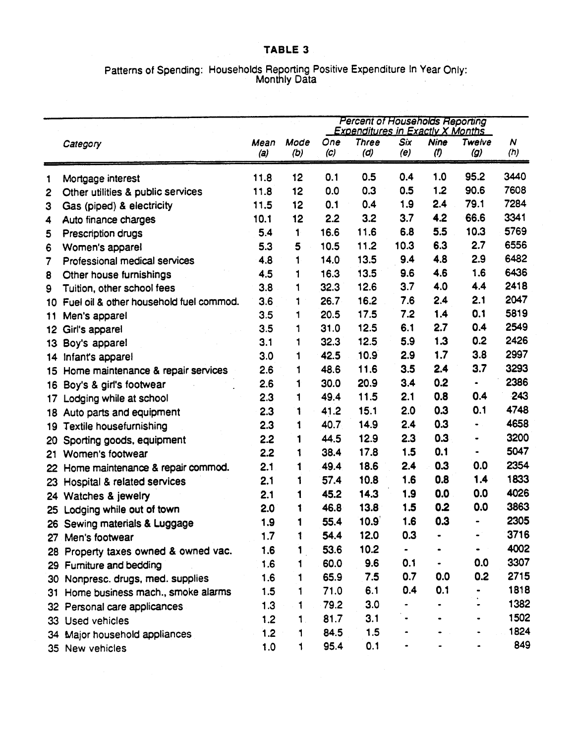# Patterns of Spending: Households Reporting Positive Expenditure In Year Only:<br>Monthly Data

|              |                                         |             |             | <b>Percent of Households Reporting</b><br><b>Expenditures in Exactly X Months</b> |                     |            |                               |               |                         |
|--------------|-----------------------------------------|-------------|-------------|-----------------------------------------------------------------------------------|---------------------|------------|-------------------------------|---------------|-------------------------|
|              | Category                                | Mean<br>(a) | Mode<br>(b) | One<br>$\mathcal{C}$                                                              | <b>Three</b><br>(d) | Six<br>(e) | Nine<br>$\boldsymbol{\theta}$ | Twelve<br>(g) | $\boldsymbol{N}$<br>(h) |
| 1            | Mortgage interest                       | 11.8        | 12          | 0.1                                                                               | 0.5                 | 0.4        | 1.0                           | 95.2          | 3440                    |
| $\mathbf{2}$ | Other utilities & public services       | 11.8        | 12          | 0.0                                                                               | 0.3                 | 0.5        | 1.2                           | 90.6          | 7608                    |
| 3            | Gas (piped) & electricity               | 11.5        | 12          | 0.1                                                                               | 0.4                 | 1.9        | 2.4                           | 79.1          | 7284                    |
| 4            | Auto finance charges                    | 10.1        | 12          | 2.2                                                                               | 3.2                 | 3.7        | 4.2                           | 66.6          | 3341                    |
| 5            | Prescription drugs                      | 5.4         | 1           | 16.6                                                                              | 11.6                | 6.8        | 5.5                           | 10.3          | 5769                    |
| 6            | Women's apparel                         | 5.3         | 5           | 10.5                                                                              | 11.2                | 10.3       | 6.3                           | 2.7           | 6556                    |
| 7            | Professional medical services           | 4.8         | 1           | 14.0                                                                              | 13.5                | 9.4        | 4.8                           | 2.9           | 6482                    |
| 8            | Other house furnishings                 | 4.5         | 1           | 16.3                                                                              | 13.5                | 9.6        | 4.6                           | 1.6           | 6436                    |
| 9            | Tuition, other school fees              | 3.8         | 1           | 32.3                                                                              | 12.6                | 3.7        | 4.0                           | 4.4           | 2418                    |
| 10           | Fuel oil & other household fuel commod. | 3.6         | 1           | 26.7                                                                              | 16.2                | 7.6        | 2.4                           | 2.1           | 2047                    |
| 11           | Men's apparel                           | 3.5         | 1           | 20.5                                                                              | 17.5                | 7.2        | 1.4                           | 0.1           | 5819                    |
| 12           | Girl's apparel                          | 3.5         | 1           | 31.0                                                                              | 12.5                | 6.1        | 2.7                           | 0.4           | 2549                    |
| 13           | Boy's apparel                           | 3.1         | 1           | 32.3                                                                              | 12.5                | 5.9        | 1.3                           | 0.2           | 2426                    |
| 14           | Infant's apparel                        | 3.0         | 1           | 42.5                                                                              | 10.9                | 2.9        | 1.7                           | 3.8           | 2997                    |
| 15           | Home maintenance & repair services      | 2.6         | 1           | 48.6                                                                              | 11.6                | 3.5        | 2.4                           | 3.7           | 3293                    |
| 16           | Boy's & girl's footwear                 | 2.6         | 1           | 30.0                                                                              | 20.9                | 3.4        | 0.2                           | ٠             | 2386                    |
| 17           | Lodging while at school                 | 2.3         | 1           | 49.4                                                                              | 11.5                | 2.1        | 0.8                           | 0.4           | 243                     |
| 18           | Auto parts and equipment                | 2.3         | 1           | 41.2                                                                              | 15.1                | 2.0        | 0.3                           | 0.1           | 4748                    |
| 19           | <b>Textile housefurnishing</b>          | 2.3         | 1           | 40.7                                                                              | 14.9                | 2.4        | 0.3                           | $\bullet$ .   | 4658                    |
| 20           | Sporting goods, equipment               | 2.2         | 1           | 44.5                                                                              | 12.9                | 2.3        | 0.3                           |               | 3200                    |
| 21           | Women's footwear                        | 2.2         | 1           | 38.4                                                                              | 17.8                | 1.5        | 0.1                           | ۰             | 5047                    |
| 22           | Home maintenance & repair commod.       | 2.1         | 1           | 49.4                                                                              | 18.6                | 2.4        | 0.3                           | 0.0           | 2354                    |
| 23           | Hospital & related services             | 2.1         | 1           | 57.4                                                                              | 10.8                | 1.6        | 0.8                           | 1.4           | 1833                    |
| 24           | Watches & jewelry                       | 2.1         | 1           | 45.2                                                                              | 14.3                | 1.9        | 0.0                           | 0.0           | 4026                    |
| 25           | Lodging while out of town               | 2.0         | 1           | 46.8                                                                              | 13.8                | 1.5        | 0.2                           | 0.0           | 3863                    |
| 26           | Sewing materials & Luggage              | 1.9         | 1           | 55.4                                                                              | 10.9                | 1.6        | 0.3                           | -             | 2305                    |
| 27           | Men's footwear                          | 1.7         | ı           | 54.4                                                                              | 12.0                | 0.3        |                               |               | 3716                    |
|              | 28 Property taxes owned & owned vac.    | 1.6         |             | 53.6                                                                              | 10.2                |            |                               |               | 4002                    |
|              | 29 Furniture and bedding                | 1.6         | 1           | 60.0                                                                              | 9.6                 | 0.1        |                               | 0.0           | 3307                    |
|              | 30 Nonpresc. drugs, med. supplies       | 1.6         | 1           | 65.9                                                                              | 7.5                 | 0.7        | 0.0                           | 0.2           | 2715                    |
| 31.          | Home business mach., smoke alarms       | 1.5         | 1           | 71.0                                                                              | 6.1                 | 0.4        | 0.1                           |               | 1818                    |
|              | 32 Personal care applicances            | 1.3         | 1           | 79.2                                                                              | 3.0                 |            |                               |               | 1382                    |
|              | 33 Used vehicles                        | 1.2         | 1.          | 81.7                                                                              | 3.1                 |            |                               |               | 1502                    |
|              | 34 Major household appliances           | 1.2         | 1           | 84.5                                                                              | 1.5                 |            |                               |               | 1824                    |
|              | 35 New vehicles                         | 1.0         |             | 95.4                                                                              | 0.1                 |            |                               |               | 849                     |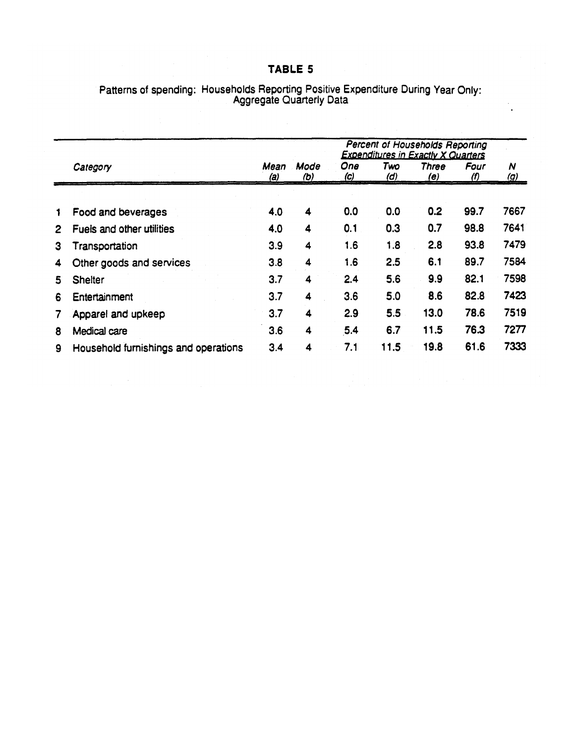## TABLE 5

|              |                                      |             | Percent of Households Reporting<br><b>Expenditures in Exactly X Quarters</b> |                   |            |                     |                             |                 |  |  |  |
|--------------|--------------------------------------|-------------|------------------------------------------------------------------------------|-------------------|------------|---------------------|-----------------------------|-----------------|--|--|--|
|              | Category                             | Mean<br>(a) | Mode<br><u>(b)</u>                                                           | One<br><u>(c)</u> | Two<br>(d) | Three<br><u>(e)</u> | Four<br>$\langle f \rangle$ | N<br><u>(g)</u> |  |  |  |
|              |                                      |             |                                                                              |                   |            |                     |                             |                 |  |  |  |
| 1            | Food and beverages                   | 4.0         | $\overline{\mathbf{4}}$                                                      | 0.0               | 0.0        | 0.2                 | 99.7                        | 7667            |  |  |  |
| $\mathbf{2}$ | Fuels and other utilities            | 4.0         | 4                                                                            | 0.1               | 0.3        | 0.7                 | 98.8                        | 7641            |  |  |  |
| 3            | Transportation                       | 3.9         | $\overline{\mathbf{4}}$                                                      | 1.6               | 1.8        | 2.8                 | 93.8                        | 7479            |  |  |  |
| 4            | Other goods and services             | 3.8         | 4                                                                            | 1.6               | 2.5        | 6.1                 | 89.7                        | 7584            |  |  |  |
| 5.           | <b>Shelter</b>                       | 3.7         | 4                                                                            | 2.4               | 5.6        | 9.9                 | 82.1                        | 7598            |  |  |  |
| 6            | Entertainment                        | 3.7         | 4                                                                            | 3.6               | 5.0        | 8.6                 | 82.8                        | 7423            |  |  |  |
| 7            | Apparel and upkeep                   | 3.7         | 4                                                                            | 2.9               | 5.5        | 13.0                | 78.6                        | 7519            |  |  |  |
| 8            | Medical care                         | 3.6         | 4                                                                            | 5.4               | 6.7        | 11.5                | 76.3                        | 7277            |  |  |  |
| $\mathbf{9}$ | Household furnishings and operations | 3.4         | 4                                                                            | 7.1               | 11.5       | 19.8                | 61.6                        | 7333            |  |  |  |

# Patterns of spending: Households Reporting Positive Expenditure During Year Only:<br>Aggregate Quarterly Data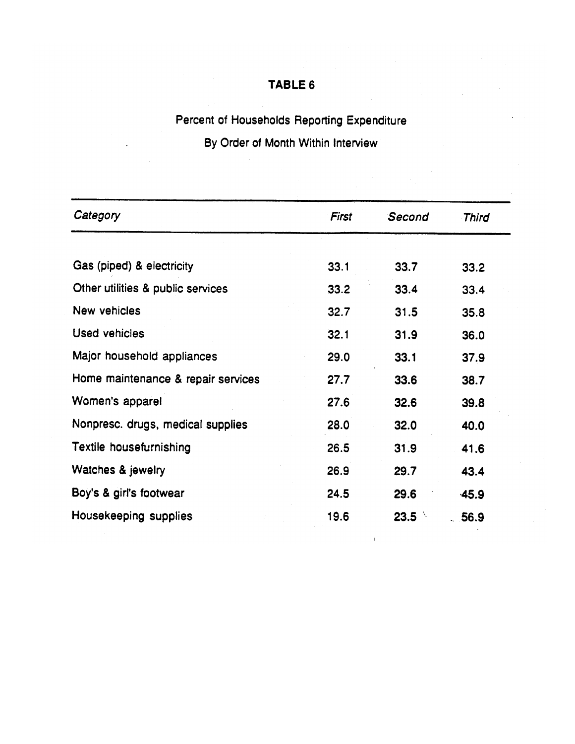## TABLE 6

## Percent of Households Reporting Expenditure

## By Order of Month Within Interview

| Gas (piped) & electricity<br>33.1<br>33.7<br>Other utilities & public services<br>33.2<br>33.4<br><b>New vehicles</b><br>32.7<br>31.5<br><b>Used vehicles</b><br>32.1<br>31.9<br>Major household appliances<br>29.0<br>33.1<br>Home maintenance & repair services<br>27.7<br>33.6<br>Women's apparel<br>27.6<br>32.6<br>Nonpresc. drugs, medical supplies<br>28.0<br>32.0<br>Textile housefurnishing<br>26.5<br>31.9<br>Watches & jewelry<br>26.9<br>29.7 | <b>Third</b> |  |
|-----------------------------------------------------------------------------------------------------------------------------------------------------------------------------------------------------------------------------------------------------------------------------------------------------------------------------------------------------------------------------------------------------------------------------------------------------------|--------------|--|
|                                                                                                                                                                                                                                                                                                                                                                                                                                                           |              |  |
|                                                                                                                                                                                                                                                                                                                                                                                                                                                           | 33.2         |  |
|                                                                                                                                                                                                                                                                                                                                                                                                                                                           | 33.4         |  |
|                                                                                                                                                                                                                                                                                                                                                                                                                                                           | 35.8         |  |
|                                                                                                                                                                                                                                                                                                                                                                                                                                                           | 36.0         |  |
|                                                                                                                                                                                                                                                                                                                                                                                                                                                           | 37.9         |  |
|                                                                                                                                                                                                                                                                                                                                                                                                                                                           | 38.7         |  |
|                                                                                                                                                                                                                                                                                                                                                                                                                                                           | 39.8         |  |
|                                                                                                                                                                                                                                                                                                                                                                                                                                                           | 40.0         |  |
|                                                                                                                                                                                                                                                                                                                                                                                                                                                           | 41.6         |  |
|                                                                                                                                                                                                                                                                                                                                                                                                                                                           | 43.4         |  |
| Boy's & girl's footwear<br>24.5<br>29.6                                                                                                                                                                                                                                                                                                                                                                                                                   | $-45.9$      |  |
| Housekeeping supplies<br>19.6<br>$23.5^{\circ}$                                                                                                                                                                                                                                                                                                                                                                                                           | 56.9         |  |